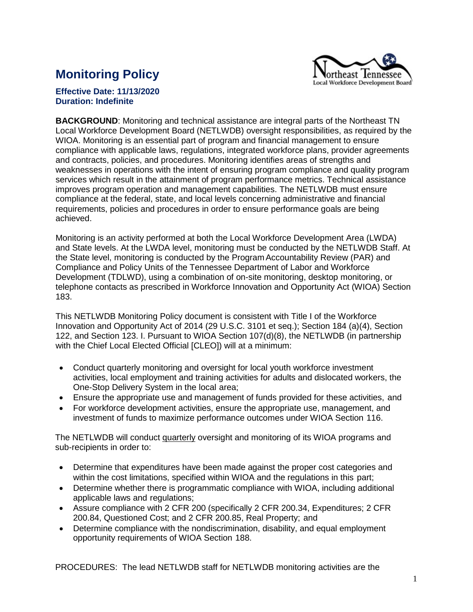

## **Monitoring Policy**

## **Effective Date: 11/13/2020 Duration: Indefinite**

**BACKGROUND**: Monitoring and technical assistance are integral parts of the Northeast TN Local Workforce Development Board (NETLWDB) oversight responsibilities, as required by the WIOA. Monitoring is an essential part of program and financial management to ensure compliance with applicable laws, regulations, integrated workforce plans, provider agreements and contracts, policies, and procedures. Monitoring identifies areas of strengths and weaknesses in operations with the intent of ensuring program compliance and quality program services which result in the attainment of program performance metrics. Technical assistance improves program operation and management capabilities. The NETLWDB must ensure compliance at the federal, state, and local levels concerning administrative and financial requirements, policies and procedures in order to ensure performance goals are being achieved.

Monitoring is an activity performed at both the Local Workforce Development Area (LWDA) and State levels. At the LWDA level, monitoring must be conducted by the NETLWDB Staff. At the State level, monitoring is conducted by the Program Accountability Review (PAR) and Compliance and Policy Units of the Tennessee Department of Labor and Workforce Development (TDLWD), using a combination of on-site monitoring, desktop monitoring, or telephone contacts as prescribed in Workforce Innovation and Opportunity Act (WIOA) Section 183.

This NETLWDB Monitoring Policy document is consistent with Title I of the Workforce Innovation and Opportunity Act of 2014 (29 U.S.C. 3101 et seq.); Section 184 (a)(4), Section 122, and Section 123. I. Pursuant to WIOA Section 107(d)(8), the NETLWDB (in partnership with the Chief Local Elected Official [CLEO]) will at a minimum:

- Conduct quarterly monitoring and oversight for local youth workforce investment activities, local employment and training activities for adults and dislocated workers, the One-Stop Delivery System in the local area;
- Ensure the appropriate use and management of funds provided for these activities, and
- For workforce development activities, ensure the appropriate use, management, and investment of funds to maximize performance outcomes under WIOA Section 116.

The NETLWDB will conduct quarterly oversight and monitoring of its WIOA programs and sub-recipients in order to:

- Determine that expenditures have been made against the proper cost categories and within the cost limitations, specified within WIOA and the regulations in this part;
- Determine whether there is programmatic compliance with WIOA, including additional applicable laws and regulations;
- Assure compliance with 2 CFR 200 (specifically 2 CFR 200.34, Expenditures; 2 CFR 200.84, Questioned Cost; and 2 CFR 200.85, Real Property; and
- Determine compliance with the nondiscrimination, disability, and equal employment opportunity requirements of WIOA Section 188.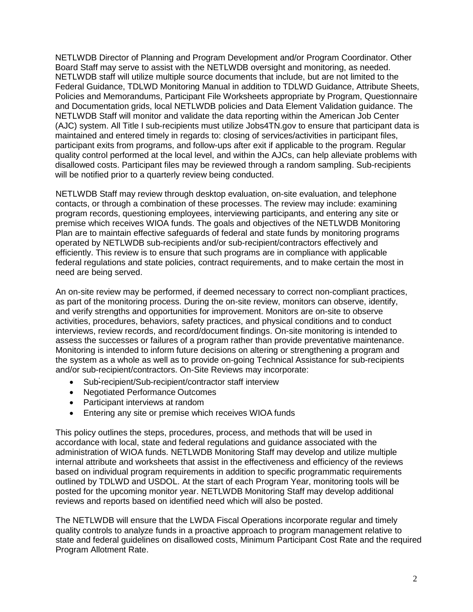NETLWDB Director of Planning and Program Development and/or Program Coordinator. Other Board Staff may serve to assist with the NETLWDB oversight and monitoring, as needed. NETLWDB staff will utilize multiple source documents that include, but are not limited to the Federal Guidance, TDLWD Monitoring Manual in addition to TDLWD Guidance, Attribute Sheets, Policies and Memorandums, Participant File Worksheets appropriate by Program, Questionnaire and Documentation grids, local NETLWDB policies and Data Element Validation guidance. The NETLWDB Staff will monitor and validate the data reporting within the American Job Center (AJC) system. All Title I sub-recipients must utilize Jobs4TN.gov to ensure that participant data is maintained and entered timely in regards to: closing of services/activities in participant files, participant exits from programs, and follow-ups after exit if applicable to the program. Regular quality control performed at the local level, and within the AJCs, can help alleviate problems with disallowed costs. Participant files may be reviewed through a random sampling. Sub-recipients will be notified prior to a quarterly review being conducted.

NETLWDB Staff may review through desktop evaluation, on-site evaluation, and telephone contacts, or through a combination of these processes. The review may include: examining program records, questioning employees, interviewing participants, and entering any site or premise which receives WIOA funds. The goals and objectives of the NETLWDB Monitoring Plan are to maintain effective safeguards of federal and state funds by monitoring programs operated by NETLWDB sub-recipients and/or sub-recipient/contractors effectively and efficiently. This review is to ensure that such programs are in compliance with applicable federal regulations and state policies, contract requirements, and to make certain the most in need are being served.

An on-site review may be performed, if deemed necessary to correct non-compliant practices, as part of the monitoring process. During the on-site review, monitors can observe, identify, and verify strengths and opportunities for improvement. Monitors are on-site to observe activities, procedures, behaviors, safety practices, and physical conditions and to conduct interviews, review records, and record/document findings. On-site monitoring is intended to assess the successes or failures of a program rather than provide preventative maintenance. Monitoring is intended to inform future decisions on altering or strengthening a program and the system as a whole as well as to provide on-going Technical Assistance for sub-recipients and/or sub-recipient/contractors. On-Site Reviews may incorporate:

- Sub-recipient/Sub-recipient/contractor staff interview
- Negotiated Performance Outcomes
- Participant interviews at random
- Entering any site or premise which receives WIOA funds

This policy outlines the steps, procedures, process, and methods that will be used in accordance with local, state and federal regulations and guidance associated with the administration of WIOA funds. NETLWDB Monitoring Staff may develop and utilize multiple internal attribute and worksheets that assist in the effectiveness and efficiency of the reviews based on individual program requirements in addition to specific programmatic requirements outlined by TDLWD and USDOL. At the start of each Program Year, monitoring tools will be posted for the upcoming monitor year. NETLWDB Monitoring Staff may develop additional reviews and reports based on identified need which will also be posted.

The NETLWDB will ensure that the LWDA Fiscal Operations incorporate regular and timely quality controls to analyze funds in a proactive approach to program management relative to state and federal guidelines on disallowed costs, Minimum Participant Cost Rate and the required Program Allotment Rate.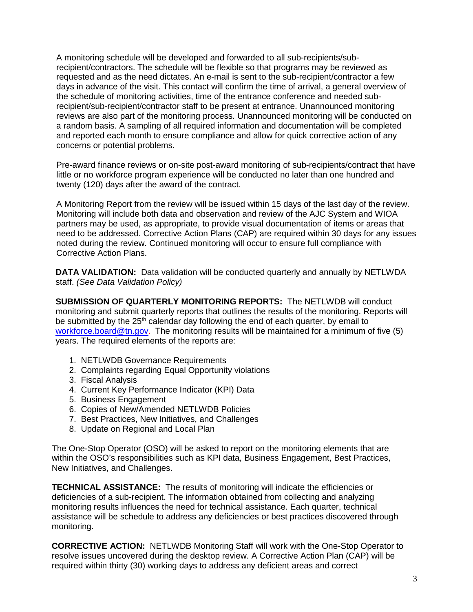A monitoring schedule will be developed and forwarded to all sub-recipients/subrecipient/contractors. The schedule will be flexible so that programs may be reviewed as requested and as the need dictates. An e-mail is sent to the sub-recipient/contractor a few days in advance of the visit. This contact will confirm the time of arrival, a general overview of the schedule of monitoring activities, time of the entrance conference and needed subrecipient/sub-recipient/contractor staff to be present at entrance. Unannounced monitoring reviews are also part of the monitoring process. Unannounced monitoring will be conducted on a random basis. A sampling of all required information and documentation will be completed and reported each month to ensure compliance and allow for quick corrective action of any concerns or potential problems.

Pre-award finance reviews or on-site post-award monitoring of sub-recipients/contract that have little or no workforce program experience will be conducted no later than one hundred and twenty (120) days after the award of the contract.

A Monitoring Report from the review will be issued within 15 days of the last day of the review. Monitoring will include both data and observation and review of the AJC System and WIOA partners may be used, as appropriate, to provide visual documentation of items or areas that need to be addressed. Corrective Action Plans (CAP) are required within 30 days for any issues noted during the review. Continued monitoring will occur to ensure full compliance with Corrective Action Plans.

**DATA VALIDATION:** Data validation will be conducted quarterly and annually by NETLWDA staff. *(See Data Validation Policy)*

**SUBMISSION OF QUARTERLY MONITORING REPORTS:** The NETLWDB will conduct monitoring and submit quarterly reports that outlines the results of the monitoring. Reports will be submitted by the 25<sup>th</sup> calendar day following the end of each quarter, by email to [workforce.board@tn.gov.](mailto:workforce.board@tn.gov) The monitoring results will be maintained for a minimum of five (5) years. The required elements of the reports are:

- 1. NETLWDB Governance Requirements
- 2. Complaints regarding Equal Opportunity violations
- 3. Fiscal Analysis
- 4. Current Key Performance Indicator (KPI) Data
- 5. Business Engagement
- 6. Copies of New/Amended NETLWDB Policies
- 7. Best Practices, New Initiatives, and Challenges
- 8. Update on Regional and Local Plan

The One-Stop Operator (OSO) will be asked to report on the monitoring elements that are within the OSO's responsibilities such as KPI data, Business Engagement, Best Practices, New Initiatives, and Challenges.

**TECHNICAL ASSISTANCE:** The results of monitoring will indicate the efficiencies or deficiencies of a sub-recipient. The information obtained from collecting and analyzing monitoring results influences the need for technical assistance. Each quarter, technical assistance will be schedule to address any deficiencies or best practices discovered through monitoring.

**CORRECTIVE ACTION:** NETLWDB Monitoring Staff will work with the One-Stop Operator to resolve issues uncovered during the desktop review. A Corrective Action Plan (CAP) will be required within thirty (30) working days to address any deficient areas and correct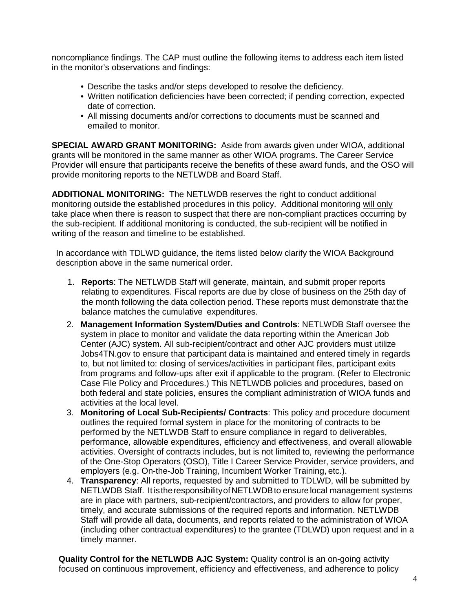noncompliance findings. The CAP must outline the following items to address each item listed in the monitor's observations and findings:

- Describe the tasks and/or steps developed to resolve the deficiency.
- Written notification deficiencies have been corrected; if pending correction, expected date of correction.
- All missing documents and/or corrections to documents must be scanned and emailed to monitor.

**SPECIAL AWARD GRANT MONITORING:** Aside from awards given under WIOA, additional grants will be monitored in the same manner as other WIOA programs. The Career Service Provider will ensure that participants receive the benefits of these award funds, and the OSO will provide monitoring reports to the NETLWDB and Board Staff.

**ADDITIONAL MONITORING:** The NETLWDB reserves the right to conduct additional monitoring outside the established procedures in this policy. Additional monitoring will only take place when there is reason to suspect that there are non-compliant practices occurring by the sub-recipient. If additional monitoring is conducted, the sub-recipient will be notified in writing of the reason and timeline to be established.

In accordance with TDLWD guidance, the items listed below clarify the WIOA Background description above in the same numerical order.

- 1. **Reports**: The NETLWDB Staff will generate, maintain, and submit proper reports relating to expenditures. Fiscal reports are due by close of business on the 25th day of the month following the data collection period. These reports must demonstrate that the balance matches the cumulative expenditures.
- 2. **Management Information System/Duties and Controls**: NETLWDB Staff oversee the system in place to monitor and validate the data reporting within the American Job Center (AJC) system. All sub-recipient/contract and other AJC providers must utilize Jobs4TN.gov to ensure that participant data is maintained and entered timely in regards to, but not limited to: closing of services/activities in participant files, participant exits from programs and follow-ups after exit if applicable to the program. (Refer to Electronic Case File Policy and Procedures.) This NETLWDB policies and procedures, based on both federal and state policies, ensures the compliant administration of WIOA funds and activities at the local level.
- 3. **Monitoring of Local Sub-Recipients/ Contracts**: This policy and procedure document outlines the required formal system in place for the monitoring of contracts to be performed by the NETLWDB Staff to ensure compliance in regard to deliverables, performance, allowable expenditures, efficiency and effectiveness, and overall allowable activities. Oversight of contracts includes, but is not limited to, reviewing the performance of the One-Stop Operators (OSO), Title I Career Service Provider, service providers, and employers (e.g. On-the-Job Training, Incumbent Worker Training, etc.).
- 4. **Transparency**: All reports, requested by and submitted to TDLWD, will be submitted by NETLWDB Staff. It is the responsibility of NETLWDB to ensure local management systems are in place with partners, sub-recipient/contractors, and providers to allow for proper, timely, and accurate submissions of the required reports and information. NETLWDB Staff will provide all data, documents, and reports related to the administration of WIOA (including other contractual expenditures) to the grantee (TDLWD) upon request and in a timely manner.

**Quality Control for the NETLWDB AJC System:** Quality control is an on-going activity focused on continuous improvement, efficiency and effectiveness, and adherence to policy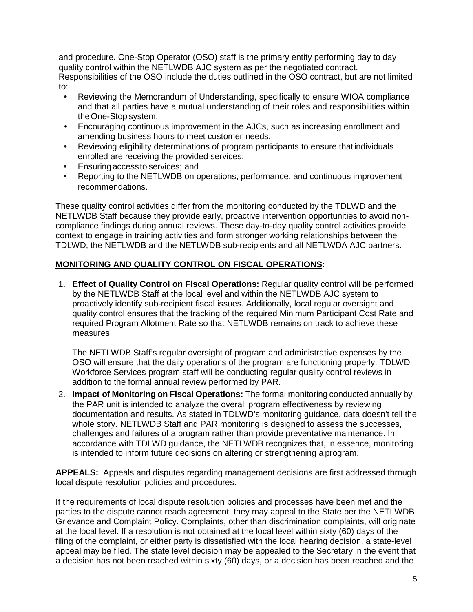and procedure**.** One-Stop Operator (OSO) staff is the primary entity performing day to day quality control within the NETLWDB AJC system as per the negotiated contract.

Responsibilities of the OSO include the duties outlined in the OSO contract, but are not limited to:

- Reviewing the Memorandum of Understanding, specifically to ensure WIOA compliance and that all parties have a mutual understanding of their roles and responsibilities within theOne-Stop system;
- Encouraging continuous improvement in the AJCs, such as increasing enrollment and amending business hours to meet customer needs;
- Reviewing eligibility determinations of program participants to ensure thatindividuals enrolled are receiving the provided services;
- Ensuring accessto services; and
- Reporting to the NETLWDB on operations, performance, and continuous improvement recommendations.

These quality control activities differ from the monitoring conducted by the TDLWD and the NETLWDB Staff because they provide early, proactive intervention opportunities to avoid noncompliance findings during annual reviews. These day-to-day quality control activities provide context to engage in training activities and form stronger working relationships between the TDLWD, the NETLWDB and the NETLWDB sub-recipients and all NETLWDA AJC partners.

## **MONITORING AND QUALITY CONTROL ON FISCAL OPERATIONS:**

1. **Effect of Quality Control on Fiscal Operations:** Regular quality control will be performed by the NETLWDB Staff at the local level and within the NETLWDB AJC system to proactively identify sub-recipient fiscal issues. Additionally, local regular oversight and quality control ensures that the tracking of the required Minimum Participant Cost Rate and required Program Allotment Rate so that NETLWDB remains on track to achieve these measures

The NETLWDB Staff's regular oversight of program and administrative expenses by the OSO will ensure that the daily operations of the program are functioning properly. TDLWD Workforce Services program staff will be conducting regular quality control reviews in addition to the formal annual review performed by PAR.

2. **Impact of Monitoring on Fiscal Operations:** The formal monitoring conducted annually by the PAR unit is intended to analyze the overall program effectiveness by reviewing documentation and results. As stated in TDLWD's monitoring guidance, data doesn't tell the whole story. NETLWDB Staff and PAR monitoring is designed to assess the successes, challenges and failures of a program rather than provide preventative maintenance. In accordance with TDLWD guidance, the NETLWDB recognizes that, in essence, monitoring is intended to inform future decisions on altering or strengthening a program.

**APPEALS:** Appeals and disputes regarding management decisions are first addressed through local dispute resolution policies and procedures.

If the requirements of local dispute resolution policies and processes have been met and the parties to the dispute cannot reach agreement, they may appeal to the State per the NETLWDB Grievance and Complaint Policy. Complaints, other than discrimination complaints, will originate at the local level. If a resolution is not obtained at the local level within sixty (60) days of the filing of the complaint, or either party is dissatisfied with the local hearing decision, a state-level appeal may be filed. The state level decision may be appealed to the Secretary in the event that a decision has not been reached within sixty (60) days, or a decision has been reached and the